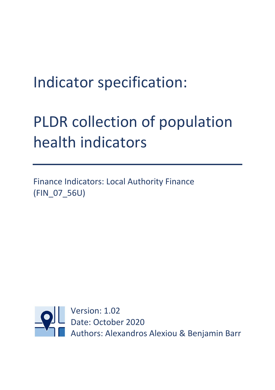## Indicator specification:

# PLDR collection of population health indicators

Finance Indicators: Local Authority Finance (FIN\_07\_56U)

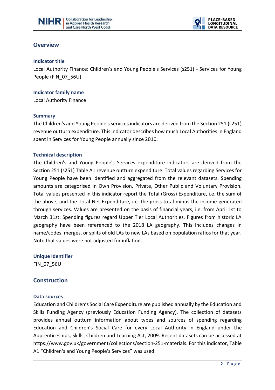



### **Overview**

#### **Indicator title**

Local Authority Finance: Children's and Young People's Services (s251) - Services for Young People (FIN\_07\_56U)

 $\overline{a}$ 

**Indicator family name** 

Local Authority Finance

#### **Summary**

The Children's and Young People's services indicators are derived from the Section 251 (s251) revenue outturn expenditure. This indicator describes how much Local Authorities in England spent in Services for Young People annually since 2010.

#### **Technical description**

The Children's and Young People's Services expenditure indicators are derived from the Section 251 (s251) Table A1 revenue outturn expenditure. Total values regarding Services for Young People have been identified and aggregated from the relevant datasets. Spending amounts are categorised in Own Provision, Private, Other Public and Voluntary Provision. Total values presented in this indicator report the Total (Gross) Expenditure, i.e. the sum of the above, and the Total Net Expenditure, i.e. the gross total minus the income generated through services. Values are presented on the basis of financial years, i.e. from April 1st to March 31st. Spending figures regard Upper Tier Local Authorities. Figures from historic LA geography have been referenced to the 2018 LA geography. This includes changes in name/codes, merges, or splits of old LAs to new LAs based on population ratios for that year. Note that values were not adjusted for inflation.

**Unique Identifier** FIN\_07\_56U

## **Construction**

#### **Data sources**

Education and Children's Social Care Expenditure are published annually by the Education and Skills Funding Agency (previously Education Funding Agency). The collection of datasets provides annual outturn information about types and sources of spending regarding Education and Children's Social Care for every Local Authority in England under the Apprenticeships, Skills, Children and Learning Act, 2009. Recent datasets can be accessed at https://www.gov.uk/government/collections/section-251-materials. For this indicator, Table A1 "Children's and Young People's Services" was used.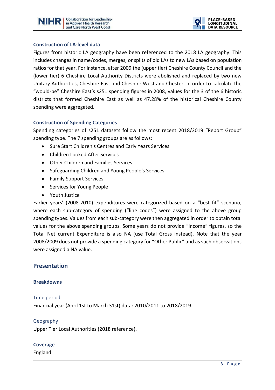



#### **Construction of LA-level data**

Figures from historic LA geography have been referenced to the 2018 LA geography. This includes changes in name/codes, merges, or splits of old LAs to new LAs based on population ratios for that year. For instance, after 2009 the (upper tier) Cheshire County Council and the (lower tier) 6 Cheshire Local Authority Districts were abolished and replaced by two new Unitary Authorities, Cheshire East and Cheshire West and Chester. In order to calculate the "would-be" Cheshire East's s251 spending figures in 2008, values for the 3 of the 6 historic districts that formed Cheshire East as well as 47.28% of the historical Cheshire County spending were aggregated.

 $\overline{a}$ 

#### **Construction of Spending Categories**

Spending categories of s251 datasets follow the most recent 2018/2019 "Report Group" spending type. The 7 spending groups are as follows:

- Sure Start Children's Centres and Early Years Services
- Children Looked After Services
- Other Children and Families Services
- Safeguarding Children and Young People's Services
- Family Support Services
- Services for Young People
- Youth Justice

Earlier years' (2008-2010) expenditures were categorized based on a "best fit" scenario, where each sub-category of spending ("line codes") were assigned to the above group spending types. Values from each sub-category were then aggregated in order to obtain total values for the above spending groups. Some years do not provide "Income" figures, so the Total Net current Expenditure is also NA (use Total Gross instead). Note that the year 2008/2009 does not provide a spending category for "Other Public" and as such observations were assigned a NA value.

#### **Presentation**

#### **Breakdowns**

#### Time period

Financial year (April 1st to March 31st) data: 2010/2011 to 2018/2019.

#### Geography

Upper Tier Local Authorities (2018 reference).

#### **Coverage**

England.